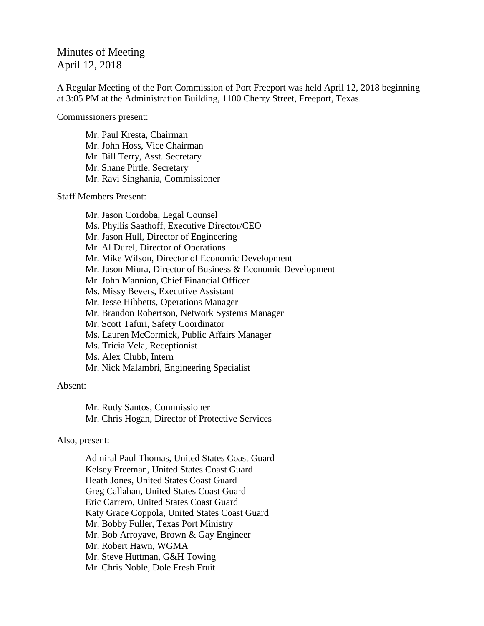## Minutes of Meeting April 12, 2018

A Regular Meeting of the Port Commission of Port Freeport was held April 12, 2018 beginning at 3:05 PM at the Administration Building, 1100 Cherry Street, Freeport, Texas.

Commissioners present:

Mr. Paul Kresta, Chairman Mr. John Hoss, Vice Chairman Mr. Bill Terry, Asst. Secretary Mr. Shane Pirtle, Secretary Mr. Ravi Singhania, Commissioner

Staff Members Present:

Mr. Jason Cordoba, Legal Counsel Ms. Phyllis Saathoff, Executive Director/CEO Mr. Jason Hull, Director of Engineering Mr. Al Durel, Director of Operations Mr. Mike Wilson, Director of Economic Development Mr. Jason Miura, Director of Business & Economic Development Mr. John Mannion, Chief Financial Officer Ms. Missy Bevers, Executive Assistant Mr. Jesse Hibbetts, Operations Manager Mr. Brandon Robertson, Network Systems Manager Mr. Scott Tafuri, Safety Coordinator Ms. Lauren McCormick, Public Affairs Manager Ms. Tricia Vela, Receptionist Ms. Alex Clubb, Intern Mr. Nick Malambri, Engineering Specialist

## Absent:

Mr. Rudy Santos, Commissioner Mr. Chris Hogan, Director of Protective Services

## Also, present:

Admiral Paul Thomas, United States Coast Guard Kelsey Freeman, United States Coast Guard Heath Jones, United States Coast Guard Greg Callahan, United States Coast Guard Eric Carrero, United States Coast Guard Katy Grace Coppola, United States Coast Guard Mr. Bobby Fuller, Texas Port Ministry Mr. Bob Arroyave, Brown & Gay Engineer Mr. Robert Hawn, WGMA Mr. Steve Huttman, G&H Towing Mr. Chris Noble, Dole Fresh Fruit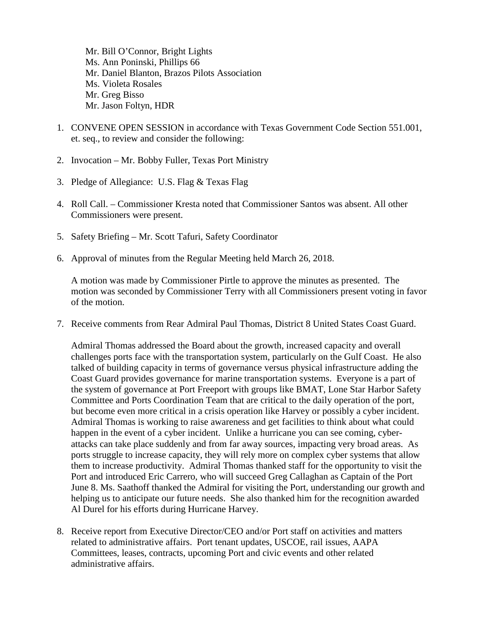Mr. Bill O'Connor, Bright Lights Ms. Ann Poninski, Phillips 66 Mr. Daniel Blanton, Brazos Pilots Association Ms. Violeta Rosales Mr. Greg Bisso Mr. Jason Foltyn, HDR

- 1. CONVENE OPEN SESSION in accordance with Texas Government Code Section 551.001, et. seq., to review and consider the following:
- 2. Invocation Mr. Bobby Fuller, Texas Port Ministry
- 3. Pledge of Allegiance: U.S. Flag & Texas Flag
- 4. Roll Call. Commissioner Kresta noted that Commissioner Santos was absent. All other Commissioners were present.
- 5. Safety Briefing Mr. Scott Tafuri, Safety Coordinator
- 6. Approval of minutes from the Regular Meeting held March 26, 2018.

A motion was made by Commissioner Pirtle to approve the minutes as presented. The motion was seconded by Commissioner Terry with all Commissioners present voting in favor of the motion.

7. Receive comments from Rear Admiral Paul Thomas, District 8 United States Coast Guard.

Admiral Thomas addressed the Board about the growth, increased capacity and overall challenges ports face with the transportation system, particularly on the Gulf Coast. He also talked of building capacity in terms of governance versus physical infrastructure adding the Coast Guard provides governance for marine transportation systems. Everyone is a part of the system of governance at Port Freeport with groups like BMAT, Lone Star Harbor Safety Committee and Ports Coordination Team that are critical to the daily operation of the port, but become even more critical in a crisis operation like Harvey or possibly a cyber incident. Admiral Thomas is working to raise awareness and get facilities to think about what could happen in the event of a cyber incident. Unlike a hurricane you can see coming, cyberattacks can take place suddenly and from far away sources, impacting very broad areas. As ports struggle to increase capacity, they will rely more on complex cyber systems that allow them to increase productivity. Admiral Thomas thanked staff for the opportunity to visit the Port and introduced Eric Carrero, who will succeed Greg Callaghan as Captain of the Port June 8. Ms. Saathoff thanked the Admiral for visiting the Port, understanding our growth and helping us to anticipate our future needs. She also thanked him for the recognition awarded Al Durel for his efforts during Hurricane Harvey.

8. Receive report from Executive Director/CEO and/or Port staff on activities and matters related to administrative affairs. Port tenant updates, USCOE, rail issues, AAPA Committees, leases, contracts, upcoming Port and civic events and other related administrative affairs.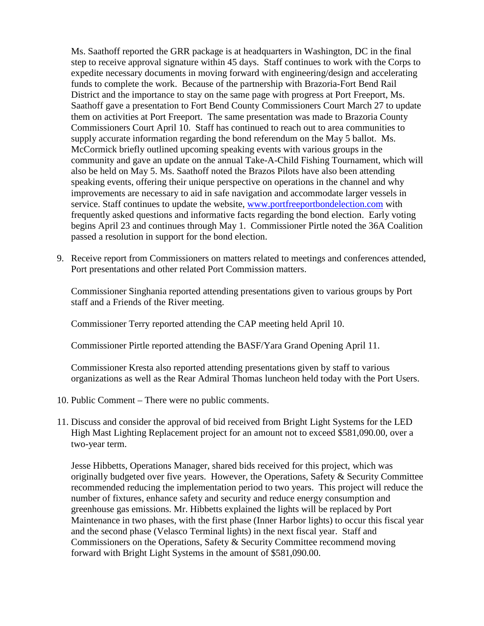Ms. Saathoff reported the GRR package is at headquarters in Washington, DC in the final step to receive approval signature within 45 days. Staff continues to work with the Corps to expedite necessary documents in moving forward with engineering/design and accelerating funds to complete the work. Because of the partnership with Brazoria-Fort Bend Rail District and the importance to stay on the same page with progress at Port Freeport, Ms. Saathoff gave a presentation to Fort Bend County Commissioners Court March 27 to update them on activities at Port Freeport. The same presentation was made to Brazoria County Commissioners Court April 10. Staff has continued to reach out to area communities to supply accurate information regarding the bond referendum on the May 5 ballot. Ms. McCormick briefly outlined upcoming speaking events with various groups in the community and gave an update on the annual Take-A-Child Fishing Tournament, which will also be held on May 5. Ms. Saathoff noted the Brazos Pilots have also been attending speaking events, offering their unique perspective on operations in the channel and why improvements are necessary to aid in safe navigation and accommodate larger vessels in service. Staff continues to update the website, [www.portfreeportbondelection.com](http://www.portfreeportbondelection.com/) with frequently asked questions and informative facts regarding the bond election. Early voting begins April 23 and continues through May 1. Commissioner Pirtle noted the 36A Coalition passed a resolution in support for the bond election.

9. Receive report from Commissioners on matters related to meetings and conferences attended, Port presentations and other related Port Commission matters.

Commissioner Singhania reported attending presentations given to various groups by Port staff and a Friends of the River meeting.

Commissioner Terry reported attending the CAP meeting held April 10.

Commissioner Pirtle reported attending the BASF/Yara Grand Opening April 11.

Commissioner Kresta also reported attending presentations given by staff to various organizations as well as the Rear Admiral Thomas luncheon held today with the Port Users.

- 10. Public Comment There were no public comments.
- 11. Discuss and consider the approval of bid received from Bright Light Systems for the LED High Mast Lighting Replacement project for an amount not to exceed \$581,090.00, over a two-year term.

Jesse Hibbetts, Operations Manager, shared bids received for this project, which was originally budgeted over five years. However, the Operations, Safety & Security Committee recommended reducing the implementation period to two years. This project will reduce the number of fixtures, enhance safety and security and reduce energy consumption and greenhouse gas emissions. Mr. Hibbetts explained the lights will be replaced by Port Maintenance in two phases, with the first phase (Inner Harbor lights) to occur this fiscal year and the second phase (Velasco Terminal lights) in the next fiscal year. Staff and Commissioners on the Operations, Safety & Security Committee recommend moving forward with Bright Light Systems in the amount of \$581,090.00.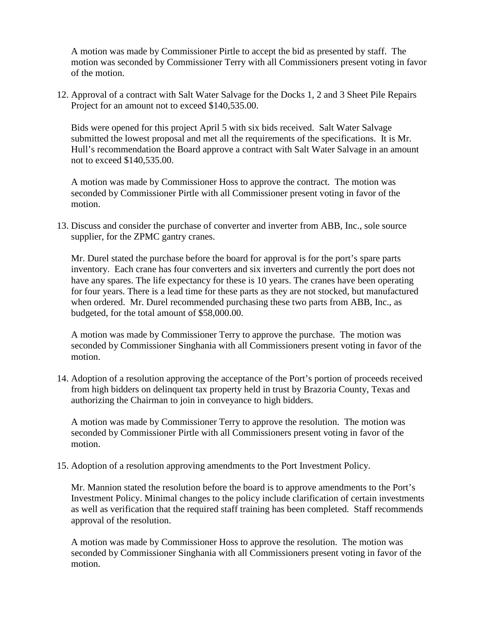A motion was made by Commissioner Pirtle to accept the bid as presented by staff. The motion was seconded by Commissioner Terry with all Commissioners present voting in favor of the motion.

12. Approval of a contract with Salt Water Salvage for the Docks 1, 2 and 3 Sheet Pile Repairs Project for an amount not to exceed \$140,535.00.

Bids were opened for this project April 5 with six bids received. Salt Water Salvage submitted the lowest proposal and met all the requirements of the specifications. It is Mr. Hull's recommendation the Board approve a contract with Salt Water Salvage in an amount not to exceed \$140,535.00.

A motion was made by Commissioner Hoss to approve the contract. The motion was seconded by Commissioner Pirtle with all Commissioner present voting in favor of the motion.

13. Discuss and consider the purchase of converter and inverter from ABB, Inc., sole source supplier, for the ZPMC gantry cranes.

Mr. Durel stated the purchase before the board for approval is for the port's spare parts inventory. Each crane has four converters and six inverters and currently the port does not have any spares. The life expectancy for these is 10 years. The cranes have been operating for four years. There is a lead time for these parts as they are not stocked, but manufactured when ordered. Mr. Durel recommended purchasing these two parts from ABB, Inc., as budgeted, for the total amount of \$58,000.00.

A motion was made by Commissioner Terry to approve the purchase. The motion was seconded by Commissioner Singhania with all Commissioners present voting in favor of the motion.

14. Adoption of a resolution approving the acceptance of the Port's portion of proceeds received from high bidders on delinquent tax property held in trust by Brazoria County, Texas and authorizing the Chairman to join in conveyance to high bidders.

A motion was made by Commissioner Terry to approve the resolution. The motion was seconded by Commissioner Pirtle with all Commissioners present voting in favor of the motion.

15. Adoption of a resolution approving amendments to the Port Investment Policy.

Mr. Mannion stated the resolution before the board is to approve amendments to the Port's Investment Policy. Minimal changes to the policy include clarification of certain investments as well as verification that the required staff training has been completed. Staff recommends approval of the resolution.

A motion was made by Commissioner Hoss to approve the resolution. The motion was seconded by Commissioner Singhania with all Commissioners present voting in favor of the motion.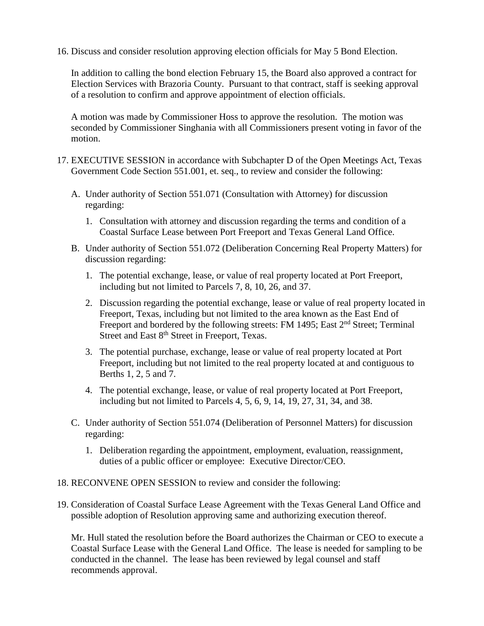16. Discuss and consider resolution approving election officials for May 5 Bond Election.

In addition to calling the bond election February 15, the Board also approved a contract for Election Services with Brazoria County. Pursuant to that contract, staff is seeking approval of a resolution to confirm and approve appointment of election officials.

A motion was made by Commissioner Hoss to approve the resolution. The motion was seconded by Commissioner Singhania with all Commissioners present voting in favor of the motion.

- 17. EXECUTIVE SESSION in accordance with Subchapter D of the Open Meetings Act, Texas Government Code Section 551.001, et. seq., to review and consider the following:
	- A. Under authority of Section 551.071 (Consultation with Attorney) for discussion regarding:
		- 1. Consultation with attorney and discussion regarding the terms and condition of a Coastal Surface Lease between Port Freeport and Texas General Land Office.
	- B. Under authority of Section 551.072 (Deliberation Concerning Real Property Matters) for discussion regarding:
		- 1. The potential exchange, lease, or value of real property located at Port Freeport, including but not limited to Parcels 7, 8, 10, 26, and 37.
		- 2. Discussion regarding the potential exchange, lease or value of real property located in Freeport, Texas, including but not limited to the area known as the East End of Freeport and bordered by the following streets: FM 1495; East 2<sup>nd</sup> Street; Terminal Street and East 8<sup>th</sup> Street in Freeport, Texas.
		- 3. The potential purchase, exchange, lease or value of real property located at Port Freeport, including but not limited to the real property located at and contiguous to Berths 1, 2, 5 and 7.
		- 4. The potential exchange, lease, or value of real property located at Port Freeport, including but not limited to Parcels 4, 5, 6, 9, 14, 19, 27, 31, 34, and 38.
	- C. Under authority of Section 551.074 (Deliberation of Personnel Matters) for discussion regarding:
		- 1. Deliberation regarding the appointment, employment, evaluation, reassignment, duties of a public officer or employee: Executive Director/CEO.
- 18. RECONVENE OPEN SESSION to review and consider the following:
- 19. Consideration of Coastal Surface Lease Agreement with the Texas General Land Office and possible adoption of Resolution approving same and authorizing execution thereof.

Mr. Hull stated the resolution before the Board authorizes the Chairman or CEO to execute a Coastal Surface Lease with the General Land Office. The lease is needed for sampling to be conducted in the channel. The lease has been reviewed by legal counsel and staff recommends approval.